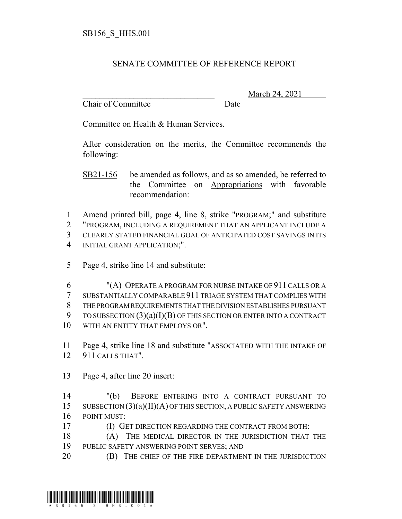## SENATE COMMITTEE OF REFERENCE REPORT

Chair of Committee Date

\_\_\_\_\_\_\_\_\_\_\_\_\_\_\_\_\_\_\_\_\_\_\_\_\_\_\_\_\_\_\_ March 24, 2021

Committee on Health & Human Services.

After consideration on the merits, the Committee recommends the following:

SB21-156 be amended as follows, and as so amended, be referred to the Committee on Appropriations with favorable recommendation:

 Amend printed bill, page 4, line 8, strike "PROGRAM;" and substitute "PROGRAM, INCLUDING A REQUIREMENT THAT AN APPLICANT INCLUDE A CLEARLY STATED FINANCIAL GOAL OF ANTICIPATED COST SAVINGS IN ITS INITIAL GRANT APPLICATION;".

5 Page 4, strike line 14 and substitute:

 "(A) OPERATE A PROGRAM FOR NURSE INTAKE OF 911 CALLS OR A SUBSTANTIALLY COMPARABLE 911 TRIAGE SYSTEM THAT COMPLIES WITH THE PROGRAM REQUIREMENTS THAT THE DIVISION ESTABLISHES PURSUANT TO SUBSECTION (3)(a)(I)(B) OF THIS SECTION OR ENTER INTO A CONTRACT 10 WITH AN ENTITY THAT EMPLOYS OR".

11 Page 4, strike line 18 and substitute "ASSOCIATED WITH THE INTAKE OF 12 911 CALLS THAT".

13 Page 4, after line 20 insert:

14 "(b) BEFORE ENTERING INTO A CONTRACT PURSUANT TO 15 SUBSECTION  $(3)(a)(II)(A)$  OF THIS SECTION, A PUBLIC SAFETY ANSWERING 16 POINT MUST:

17 **(I) GET DIRECTION REGARDING THE CONTRACT FROM BOTH:** 

18 (A) THE MEDICAL DIRECTOR IN THE JURISDICTION THAT THE 19 PUBLIC SAFETY ANSWERING POINT SERVES; AND

20 **(B)** THE CHIEF OF THE FIRE DEPARTMENT IN THE JURISDICTION

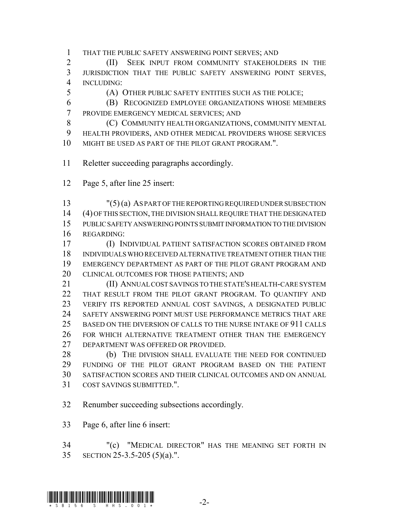THAT THE PUBLIC SAFETY ANSWERING POINT SERVES; AND

 (II) SEEK INPUT FROM COMMUNITY STAKEHOLDERS IN THE JURISDICTION THAT THE PUBLIC SAFETY ANSWERING POINT SERVES, INCLUDING:

(A) OTHER PUBLIC SAFETY ENTITIES SUCH AS THE POLICE;

 (B) RECOGNIZED EMPLOYEE ORGANIZATIONS WHOSE MEMBERS PROVIDE EMERGENCY MEDICAL SERVICES; AND

**(C) COMMUNITY HEALTH ORGANIZATIONS, COMMUNITY MENTAL**  HEALTH PROVIDERS, AND OTHER MEDICAL PROVIDERS WHOSE SERVICES MIGHT BE USED AS PART OF THE PILOT GRANT PROGRAM.".

- Reletter succeeding paragraphs accordingly.
- Page 5, after line 25 insert:

 "(5) (a) AS PART OF THE REPORTING REQUIRED UNDER SUBSECTION (4) OF THIS SECTION, THE DIVISION SHALL REQUIRE THAT THE DESIGNATED PUBLIC SAFETY ANSWERING POINTS SUBMIT INFORMATION TO THE DIVISION REGARDING:

 (I) INDIVIDUAL PATIENT SATISFACTION SCORES OBTAINED FROM INDIVIDUALS WHO RECEIVED ALTERNATIVE TREATMENT OTHER THAN THE EMERGENCY DEPARTMENT AS PART OF THE PILOT GRANT PROGRAM AND 20 CLINICAL OUTCOMES FOR THOSE PATIENTS; AND

 (II) ANNUAL COST SAVINGS TO THE STATE'S HEALTH-CARE SYSTEM THAT RESULT FROM THE PILOT GRANT PROGRAM. TO QUANTIFY AND VERIFY ITS REPORTED ANNUAL COST SAVINGS, A DESIGNATED PUBLIC SAFETY ANSWERING POINT MUST USE PERFORMANCE METRICS THAT ARE BASED ON THE DIVERSION OF CALLS TO THE NURSE INTAKE OF 911 CALLS FOR WHICH ALTERNATIVE TREATMENT OTHER THAN THE EMERGENCY DEPARTMENT WAS OFFERED OR PROVIDED.

28 (b) THE DIVISION SHALL EVALUATE THE NEED FOR CONTINUED FUNDING OF THE PILOT GRANT PROGRAM BASED ON THE PATIENT SATISFACTION SCORES AND THEIR CLINICAL OUTCOMES AND ON ANNUAL COST SAVINGS SUBMITTED.".

Renumber succeeding subsections accordingly.

Page 6, after line 6 insert:

 "(c) "MEDICAL DIRECTOR" HAS THE MEANING SET FORTH IN SECTION 25-3.5-205 (5)(a).".